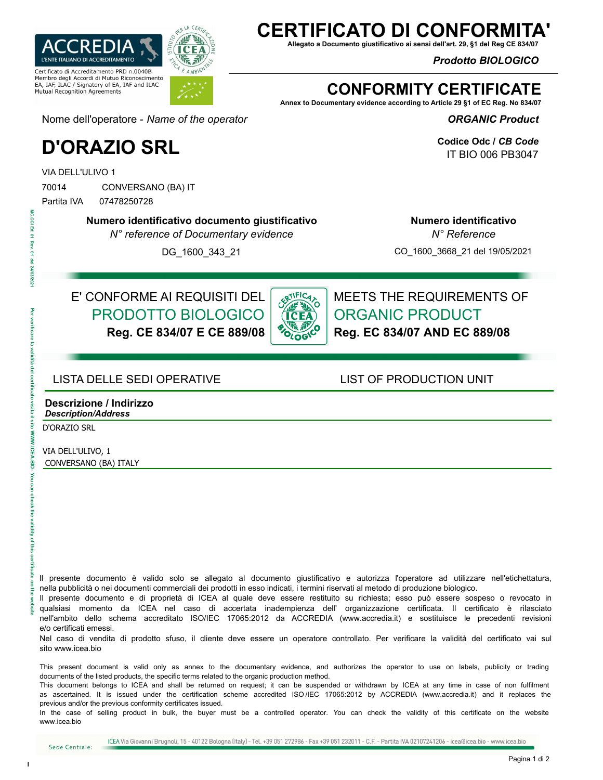

## **CERTIFICATO DI CONFORN**

**Allegato a Documento giustificativo ai sensi dell'art. 29, §1 del Reg CE 834/07**

*Prodotto BIOLOGICO* 

## **CONFORMITY CERTIFICATE**

**Annex to Documentary evidence according to Article 29 §1 of EC Reg. No 834/07**

*ORGANIC Product* 

**Codice Odc /** *CB Code* IT BIO 006 PB3047

Nome dell'operatore - *Name of the operator*

# **D'ORAZIO SRL**

VIA DELL'ULIVO 1

70014 CONVERSANO (BA) IT

MC.CCI Ed. ë Re e /03/202 Partita IVA 07478250728

**Numero identificativo documento giustificativo**

*N° reference of Documentary evidence*

DG\_1600\_343\_21

**Numero identificativo**  *N° Reference*

CO\_1600\_3668\_21 del 19/05/2021

## E' CONFORME AI REQUISITI DEL PRODOTTO BIOLOGICO **Reg. CE 834/07 E CE 889/08**

**SRTIFICATION** OLOG

MEETS THE REQUIREMENTS OF ORGANIC PRODUCT **Reg. EC 834/07 AND EC 889/08**

### LISTA DELLE SEDI OPERATIVE LIST OF PRODUCTION UNIT

### **Descrizione / Indirizzo** *Description/Address*

D'ORAZIO SRL

**Per verificate on the verificate la validità del certificato visita il sito WWW.ICEA.BIO- You can check the validity of this certificate on the website** 

**MWW LCEA** Ö ě **Cal** check

the validity of

ă

VIA DELL'ULIVO, 1 CONVERSANO (BA) ITALY

ll presente documento è valido solo se allegato al documento giustificativo e autorizza l'operatore ad utilizzare nell'etichettatura, nella pubblicità o nei documenti commerciali dei prodotti in esso indicati, i termini riservati al metodo di produzione biologico.

Il presente documento e di proprietà di ICEA al quale deve essere restituito su richiesta; esso può essere sospeso o revocato in qualsiasi momento da ICEA nel caso di accertata inadempienza dell' organizzazione certificata. Il certificato è rilasciato nell'ambito dello schema accreditato ISO/IEC 17065:2012 da ACCREDIA (www.accredia.it) e sostituisce le precedenti revisioni e/o certificati emessi.

Nel caso di vendita di prodotto sfuso, il cliente deve essere un operatore controllato. Per verificare la validità del certificato vai sul sito www.icea.bio

This present document is valid only as annex to the documentary evidence, and authorizes the operator to use on labels, publicity or trading documents of the listed products, the specific terms related to the organic production method.

This document belongs to ICEA and shall be returned on request; it can be suspended or withdrawn by ICEA at any time in case of non fulfilment as ascertained. It is issued under the certification scheme accredited ISO /IEC 17065:2012 by ACCREDIA (www.accredia.it) and it replaces the previous and/or the previous conformity certificates issued.

In the case of selling product in bulk, the buyer must be a controlled operator. You can check the validity of this certificate on the website www.icea.bio

Sede Centrale: